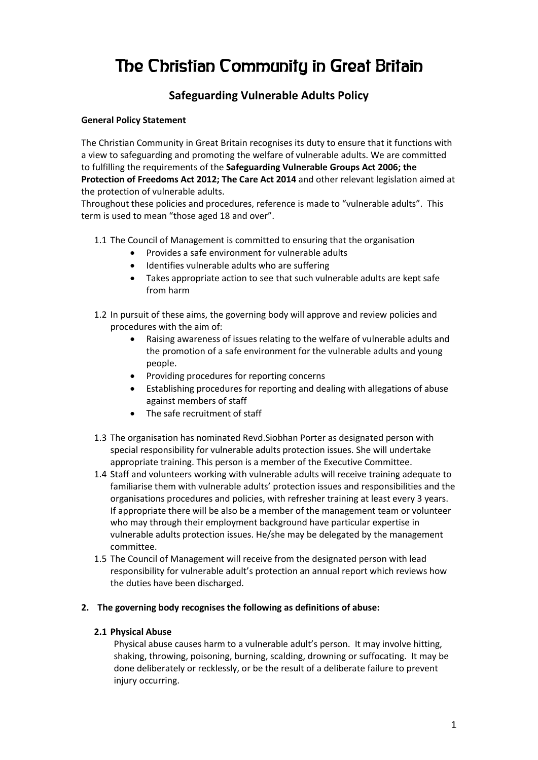# The Christian Community in Great Britain

# **Safeguarding Vulnerable Adults Policy**

#### **General Policy Statement**

The Christian Community in Great Britain recognises its duty to ensure that it functions with a view to safeguarding and promoting the welfare of vulnerable adults. We are committed to fulfilling the requirements of the **Safeguarding Vulnerable Groups Act 2006; the Protection of Freedoms Act 2012; The Care Act 2014** and other relevant legislation aimed at the protection of vulnerable adults.

Throughout these policies and procedures, reference is made to "vulnerable adults". This term is used to mean "those aged 18 and over".

- 1.1 The Council of Management is committed to ensuring that the organisation
	- Provides a safe environment for vulnerable adults
	- Identifies vulnerable adults who are suffering
	- Takes appropriate action to see that such vulnerable adults are kept safe from harm
- 1.2 In pursuit of these aims, the governing body will approve and review policies and procedures with the aim of:
	- Raising awareness of issues relating to the welfare of vulnerable adults and the promotion of a safe environment for the vulnerable adults and young people.
	- Providing procedures for reporting concerns
	- Establishing procedures for reporting and dealing with allegations of abuse against members of staff
	- The safe recruitment of staff
- 1.3 The organisation has nominated Revd.Siobhan Porter as designated person with special responsibility for vulnerable adults protection issues. She will undertake appropriate training. This person is a member of the Executive Committee.
- 1.4 Staff and volunteers working with vulnerable adults will receive training adequate to familiarise them with vulnerable adults' protection issues and responsibilities and the organisations procedures and policies, with refresher training at least every 3 years. If appropriate there will be also be a member of the management team or volunteer who may through their employment background have particular expertise in vulnerable adults protection issues. He/she may be delegated by the management committee.
- 1.5 The Council of Management will receive from the designated person with lead responsibility for vulnerable adult's protection an annual report which reviews how the duties have been discharged.

#### **2. The governing body recognises the following as definitions of abuse:**

#### **2.1 Physical Abuse**

Physical abuse causes harm to a vulnerable adult's person. It may involve hitting, shaking, throwing, poisoning, burning, scalding, drowning or suffocating. It may be done deliberately or recklessly, or be the result of a deliberate failure to prevent injury occurring.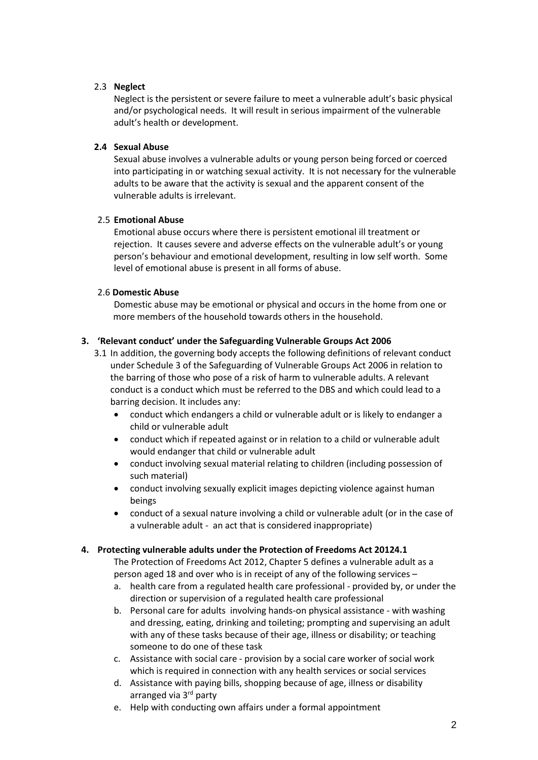#### 2.3 **Neglect**

Neglect is the persistent or severe failure to meet a vulnerable adult's basic physical and/or psychological needs. It will result in serious impairment of the vulnerable adult's health or development.

#### **2.4 Sexual Abuse**

Sexual abuse involves a vulnerable adults or young person being forced or coerced into participating in or watching sexual activity. It is not necessary for the vulnerable adults to be aware that the activity is sexual and the apparent consent of the vulnerable adults is irrelevant.

#### 2.5 **Emotional Abuse**

Emotional abuse occurs where there is persistent emotional ill treatment or rejection. It causes severe and adverse effects on the vulnerable adult's or young person's behaviour and emotional development, resulting in low self worth. Some level of emotional abuse is present in all forms of abuse.

#### 2.6 **Domestic Abuse**

Domestic abuse may be emotional or physical and occurs in the home from one or more members of the household towards others in the household.

#### **3. 'Relevant conduct' under the Safeguarding Vulnerable Groups Act 2006**

- 3.1 In addition, the governing body accepts the following definitions of relevant conduct under Schedule 3 of the Safeguarding of Vulnerable Groups Act 2006 in relation to the barring of those who pose of a risk of harm to vulnerable adults. A relevant conduct is a conduct which must be referred to the DBS and which could lead to a barring decision. It includes any:
	- conduct which endangers a child or vulnerable adult or is likely to endanger a child or vulnerable adult
	- conduct which if repeated against or in relation to a child or vulnerable adult would endanger that child or vulnerable adult
	- conduct involving sexual material relating to children (including possession of such material)
	- conduct involving sexually explicit images depicting violence against human beings
	- conduct of a sexual nature involving a child or vulnerable adult (or in the case of a vulnerable adult - an act that is considered inappropriate)

## **4. Protecting vulnerable adults under the Protection of Freedoms Act 20124.1**

The Protection of Freedoms Act 2012, Chapter 5 defines a vulnerable adult as a person aged 18 and over who is in receipt of any of the following services –

- a. health care from a regulated health care professional provided by, or under the direction or supervision of a regulated health care professional
- b. Personal care for adults involving hands-on physical assistance with washing and dressing, eating, drinking and toileting; prompting and supervising an adult with any of these tasks because of their age, illness or disability; or teaching someone to do one of these task
- c. Assistance with social care provision by a social care worker of social work which is required in connection with any health services or social services
- d. Assistance with paying bills, shopping because of age, illness or disability arranged via 3rd party
- e. Help with conducting own affairs under a formal appointment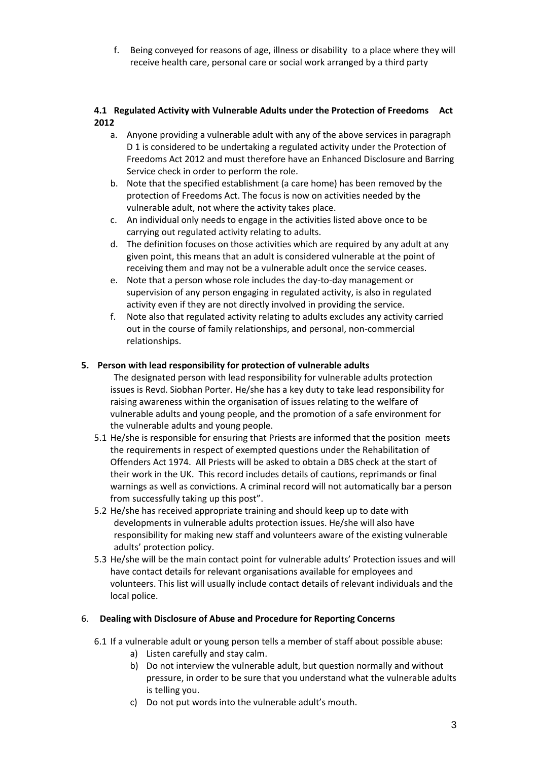f. Being conveyed for reasons of age, illness or disability to a place where they will receive health care, personal care or social work arranged by a third party

#### **4.1 Regulated Activity with Vulnerable Adults under the Protection of Freedoms Act 2012**

- a. Anyone providing a vulnerable adult with any of the above services in paragraph D 1 is considered to be undertaking a regulated activity under the Protection of Freedoms Act 2012 and must therefore have an Enhanced Disclosure and Barring Service check in order to perform the role.
- b. Note that the specified establishment (a care home) has been removed by the protection of Freedoms Act. The focus is now on activities needed by the vulnerable adult, not where the activity takes place.
- c. An individual only needs to engage in the activities listed above once to be carrying out regulated activity relating to adults.
- d. The definition focuses on those activities which are required by any adult at any given point, this means that an adult is considered vulnerable at the point of receiving them and may not be a vulnerable adult once the service ceases.
- e. Note that a person whose role includes the day-to-day management or supervision of any person engaging in regulated activity, is also in regulated activity even if they are not directly involved in providing the service.
- f. Note also that regulated activity relating to adults excludes any activity carried out in the course of family relationships, and personal, non-commercial relationships.

# **5. Person with lead responsibility for protection of vulnerable adults**

- The designated person with lead responsibility for vulnerable adults protection issues is Revd. Siobhan Porter. He/she has a key duty to take lead responsibility for raising awareness within the organisation of issues relating to the welfare of vulnerable adults and young people, and the promotion of a safe environment for the vulnerable adults and young people.
- 5.1 He/she is responsible for ensuring that Priests are informed that the position meets the requirements in respect of exempted questions under the Rehabilitation of Offenders Act 1974. All Priests will be asked to obtain a DBS check at the start of their work in the UK. This record includes details of cautions, reprimands or final warnings as well as convictions. A criminal record will not automatically bar a person from successfully taking up this post".
- 5.2 He/she has received appropriate training and should keep up to date with developments in vulnerable adults protection issues. He/she will also have responsibility for making new staff and volunteers aware of the existing vulnerable adults' protection policy.
- 5.3 He/she will be the main contact point for vulnerable adults' Protection issues and will have contact details for relevant organisations available for employees and volunteers. This list will usually include contact details of relevant individuals and the local police.

## 6. **Dealing with Disclosure of Abuse and Procedure for Reporting Concerns**

- 6.1 If a vulnerable adult or young person tells a member of staff about possible abuse:
	- a) Listen carefully and stay calm.
	- b) Do not interview the vulnerable adult, but question normally and without pressure, in order to be sure that you understand what the vulnerable adults is telling you.
	- c) Do not put words into the vulnerable adult's mouth.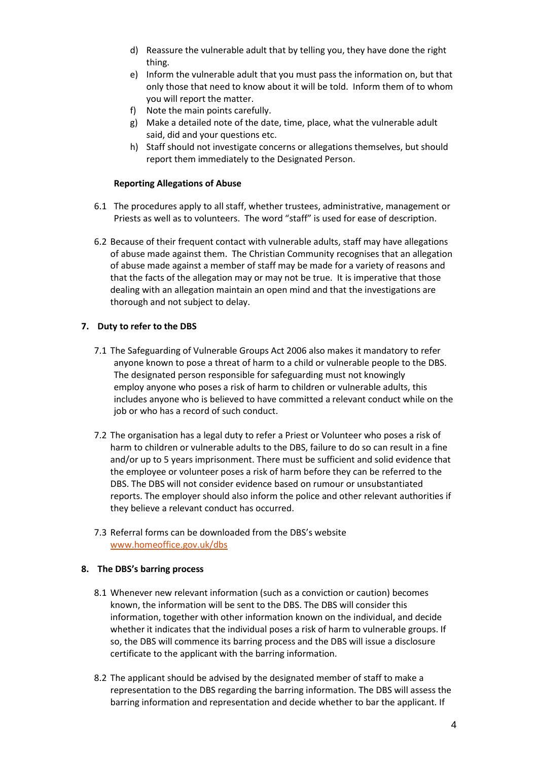- d) Reassure the vulnerable adult that by telling you, they have done the right thing.
- e) Inform the vulnerable adult that you must pass the information on, but that only those that need to know about it will be told. Inform them of to whom you will report the matter.
- f) Note the main points carefully.
- g) Make a detailed note of the date, time, place, what the vulnerable adult said, did and your questions etc.
- h) Staff should not investigate concerns or allegations themselves, but should report them immediately to the Designated Person.

#### **Reporting Allegations of Abuse**

- 6.1 The procedures apply to all staff, whether trustees, administrative, management or Priests as well as to volunteers. The word "staff" is used for ease of description.
- 6.2 Because of their frequent contact with vulnerable adults, staff may have allegations of abuse made against them. The Christian Community recognises that an allegation of abuse made against a member of staff may be made for a variety of reasons and that the facts of the allegation may or may not be true. It is imperative that those dealing with an allegation maintain an open mind and that the investigations are thorough and not subject to delay.

#### **7. Duty to refer to the DBS**

- 7.1 The Safeguarding of Vulnerable Groups Act 2006 also makes it mandatory to refer anyone known to pose a threat of harm to a child or vulnerable people to the DBS. The designated person responsible for safeguarding must not knowingly employ anyone who poses a risk of harm to children or vulnerable adults, this includes anyone who is believed to have committed a relevant conduct while on the job or who has a record of such conduct.
- 7.2 The organisation has a legal duty to refer a Priest or Volunteer who poses a risk of harm to children or vulnerable adults to the DBS, failure to do so can result in a fine and/or up to 5 years imprisonment. There must be sufficient and solid evidence that the employee or volunteer poses a risk of harm before they can be referred to the DBS. The DBS will not consider evidence based on rumour or unsubstantiated reports. The employer should also inform the police and other relevant authorities if they believe a relevant conduct has occurred.
- 7.3 Referral forms can be downloaded from the DBS's website [www.homeoffice.gov.uk/dbs](http://www.homeoffice.gov.uk/dbs)

#### **8. The DBS's barring process**

- 8.1 Whenever new relevant information (such as a conviction or caution) becomes known, the information will be sent to the DBS. The DBS will consider this information, together with other information known on the individual, and decide whether it indicates that the individual poses a risk of harm to vulnerable groups. If so, the DBS will commence its barring process and the DBS will issue a disclosure certificate to the applicant with the barring information.
- 8.2 The applicant should be advised by the designated member of staff to make a representation to the DBS regarding the barring information. The DBS will assess the barring information and representation and decide whether to bar the applicant. If